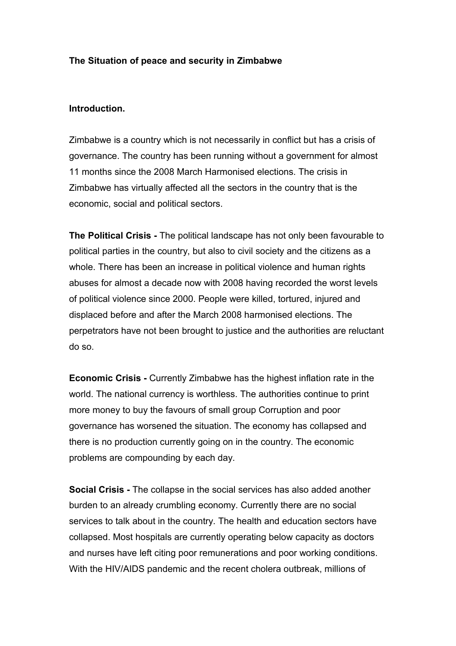## **The Situation of peace and security in Zimbabwe**

## **Introduction.**

Zimbabwe is a country which is not necessarily in conflict but has a crisis of governance. The country has been running without a government for almost 11 months since the 2008 March Harmonised elections. The crisis in Zimbabwe has virtually affected all the sectors in the country that is the economic, social and political sectors.

**The Political Crisis -** The political landscape has not only been favourable to political parties in the country, but also to civil society and the citizens as a whole. There has been an increase in political violence and human rights abuses for almost a decade now with 2008 having recorded the worst levels of political violence since 2000. People were killed, tortured, injured and displaced before and after the March 2008 harmonised elections. The perpetrators have not been brought to justice and the authorities are reluctant do so.

**Economic Crisis -** Currently Zimbabwe has the highest inflation rate in the world. The national currency is worthless. The authorities continue to print more money to buy the favours of small group Corruption and poor governance has worsened the situation. The economy has collapsed and there is no production currently going on in the country. The economic problems are compounding by each day.

**Social Crisis -** The collapse in the social services has also added another burden to an already crumbling economy. Currently there are no social services to talk about in the country. The health and education sectors have collapsed. Most hospitals are currently operating below capacity as doctors and nurses have left citing poor remunerations and poor working conditions. With the HIV/AIDS pandemic and the recent cholera outbreak, millions of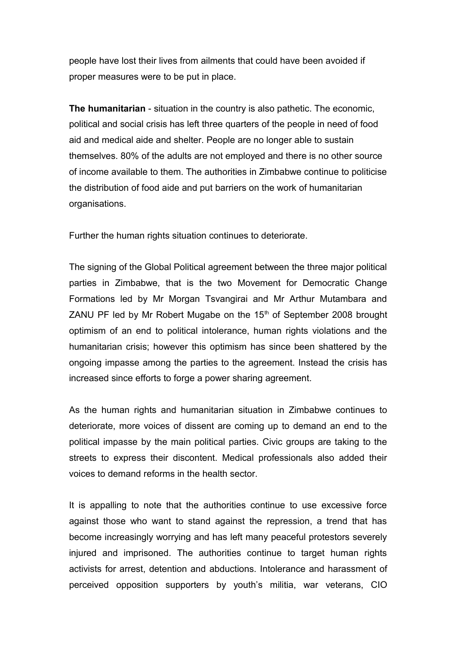people have lost their lives from ailments that could have been avoided if proper measures were to be put in place.

**The humanitarian** - situation in the country is also pathetic. The economic, political and social crisis has left three quarters of the people in need of food aid and medical aide and shelter. People are no longer able to sustain themselves. 80% of the adults are not employed and there is no other source of income available to them. The authorities in Zimbabwe continue to politicise the distribution of food aide and put barriers on the work of humanitarian organisations.

Further the human rights situation continues to deteriorate.

The signing of the Global Political agreement between the three major political parties in Zimbabwe, that is the two Movement for Democratic Change Formations led by Mr Morgan Tsvangirai and Mr Arthur Mutambara and ZANU PF led by Mr Robert Mugabe on the  $15<sup>th</sup>$  of September 2008 brought optimism of an end to political intolerance, human rights violations and the humanitarian crisis; however this optimism has since been shattered by the ongoing impasse among the parties to the agreement. Instead the crisis has increased since efforts to forge a power sharing agreement.

As the human rights and humanitarian situation in Zimbabwe continues to deteriorate, more voices of dissent are coming up to demand an end to the political impasse by the main political parties. Civic groups are taking to the streets to express their discontent. Medical professionals also added their voices to demand reforms in the health sector.

It is appalling to note that the authorities continue to use excessive force against those who want to stand against the repression, a trend that has become increasingly worrying and has left many peaceful protestors severely injured and imprisoned. The authorities continue to target human rights activists for arrest, detention and abductions. Intolerance and harassment of perceived opposition supporters by youth's militia, war veterans, CIO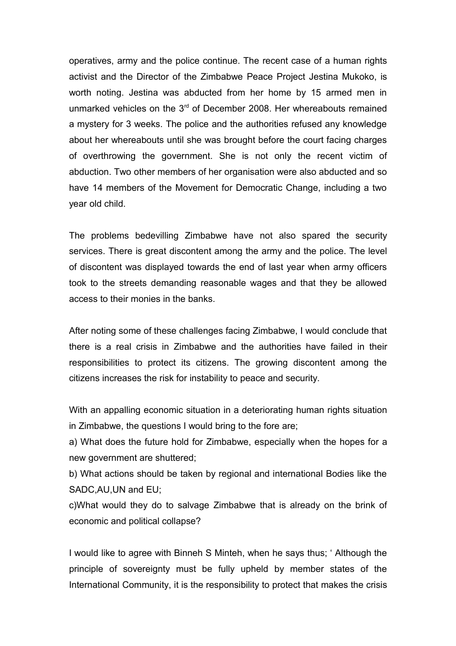operatives, army and the police continue. The recent case of a human rights activist and the Director of the Zimbabwe Peace Project Jestina Mukoko, is worth noting. Jestina was abducted from her home by 15 armed men in unmarked vehicles on the 3<sup>rd</sup> of December 2008. Her whereabouts remained a mystery for 3 weeks. The police and the authorities refused any knowledge about her whereabouts until she was brought before the court facing charges of overthrowing the government. She is not only the recent victim of abduction. Two other members of her organisation were also abducted and so have 14 members of the Movement for Democratic Change, including a two year old child.

The problems bedevilling Zimbabwe have not also spared the security services. There is great discontent among the army and the police. The level of discontent was displayed towards the end of last year when army officers took to the streets demanding reasonable wages and that they be allowed access to their monies in the banks.

After noting some of these challenges facing Zimbabwe, I would conclude that there is a real crisis in Zimbabwe and the authorities have failed in their responsibilities to protect its citizens. The growing discontent among the citizens increases the risk for instability to peace and security.

With an appalling economic situation in a deteriorating human rights situation in Zimbabwe, the questions I would bring to the fore are;

a) What does the future hold for Zimbabwe, especially when the hopes for a new government are shuttered;

b) What actions should be taken by regional and international Bodies like the SADC,AU,UN and EU;

c)What would they do to salvage Zimbabwe that is already on the brink of economic and political collapse?

I would like to agree with Binneh S Minteh, when he says thus; ' Although the principle of sovereignty must be fully upheld by member states of the International Community, it is the responsibility to protect that makes the crisis